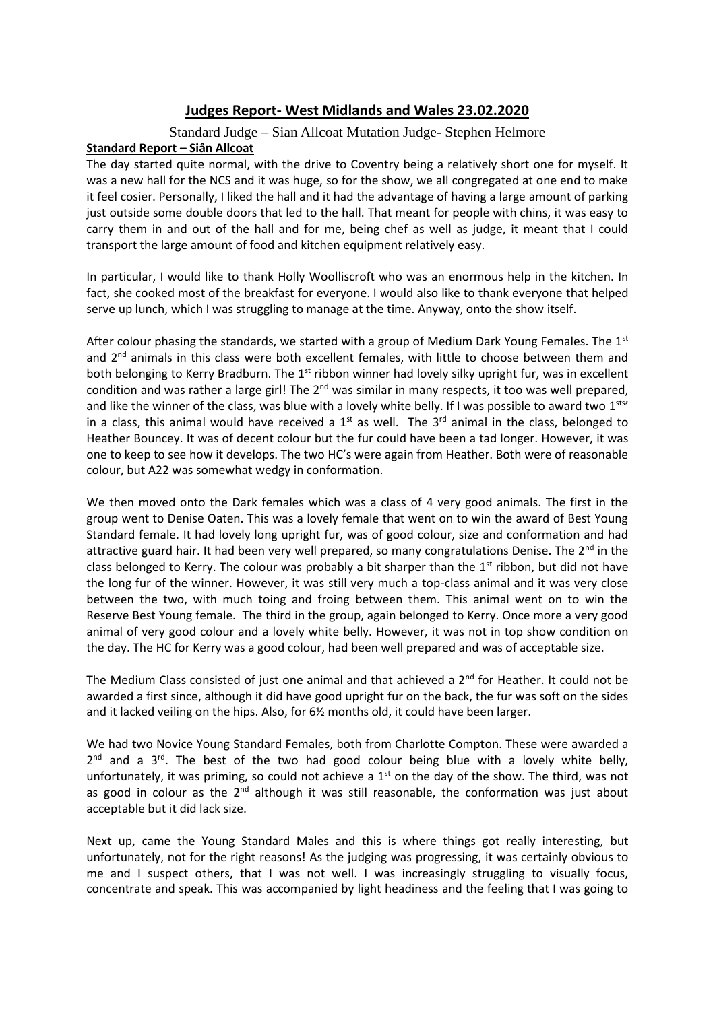## **Judges Report- West Midlands and Wales 23.02.2020**

## Standard Judge – Sian Allcoat Mutation Judge- Stephen Helmore

## **Standard Report – Siân Allcoat**

The day started quite normal, with the drive to Coventry being a relatively short one for myself. It was a new hall for the NCS and it was huge, so for the show, we all congregated at one end to make it feel cosier. Personally, I liked the hall and it had the advantage of having a large amount of parking just outside some double doors that led to the hall. That meant for people with chins, it was easy to carry them in and out of the hall and for me, being chef as well as judge, it meant that I could transport the large amount of food and kitchen equipment relatively easy.

In particular, I would like to thank Holly Woolliscroft who was an enormous help in the kitchen. In fact, she cooked most of the breakfast for everyone. I would also like to thank everyone that helped serve up lunch, which I was struggling to manage at the time. Anyway, onto the show itself.

After colour phasing the standards, we started with a group of Medium Dark Young Females. The 1st and  $2<sup>nd</sup>$  animals in this class were both excellent females, with little to choose between them and both belonging to Kerry Bradburn. The 1<sup>st</sup> ribbon winner had lovely silky upright fur, was in excellent condition and was rather a large girl! The 2<sup>nd</sup> was similar in many respects, it too was well prepared, and like the winner of the class, was blue with a lovely white belly. If I was possible to award two 1sts' in a class, this animal would have received a  $1<sup>st</sup>$  as well. The  $3<sup>rd</sup>$  animal in the class, belonged to Heather Bouncey. It was of decent colour but the fur could have been a tad longer. However, it was one to keep to see how it develops. The two HC's were again from Heather. Both were of reasonable colour, but A22 was somewhat wedgy in conformation.

We then moved onto the Dark females which was a class of 4 very good animals. The first in the group went to Denise Oaten. This was a lovely female that went on to win the award of Best Young Standard female. It had lovely long upright fur, was of good colour, size and conformation and had attractive guard hair. It had been very well prepared, so many congratulations Denise. The  $2^{nd}$  in the class belonged to Kerry. The colour was probably a bit sharper than the  $1<sup>st</sup>$  ribbon, but did not have the long fur of the winner. However, it was still very much a top-class animal and it was very close between the two, with much toing and froing between them. This animal went on to win the Reserve Best Young female. The third in the group, again belonged to Kerry. Once more a very good animal of very good colour and a lovely white belly. However, it was not in top show condition on the day. The HC for Kerry was a good colour, had been well prepared and was of acceptable size.

The Medium Class consisted of just one animal and that achieved a 2<sup>nd</sup> for Heather. It could not be awarded a first since, although it did have good upright fur on the back, the fur was soft on the sides and it lacked veiling on the hips. Also, for 6½ months old, it could have been larger.

We had two Novice Young Standard Females, both from Charlotte Compton. These were awarded a  $2^{nd}$  and a  $3^{rd}$ . The best of the two had good colour being blue with a lovely white belly, unfortunately, it was priming, so could not achieve a  $1<sup>st</sup>$  on the day of the show. The third, was not as good in colour as the  $2^{nd}$  although it was still reasonable, the conformation was just about acceptable but it did lack size.

Next up, came the Young Standard Males and this is where things got really interesting, but unfortunately, not for the right reasons! As the judging was progressing, it was certainly obvious to me and I suspect others, that I was not well. I was increasingly struggling to visually focus, concentrate and speak. This was accompanied by light headiness and the feeling that I was going to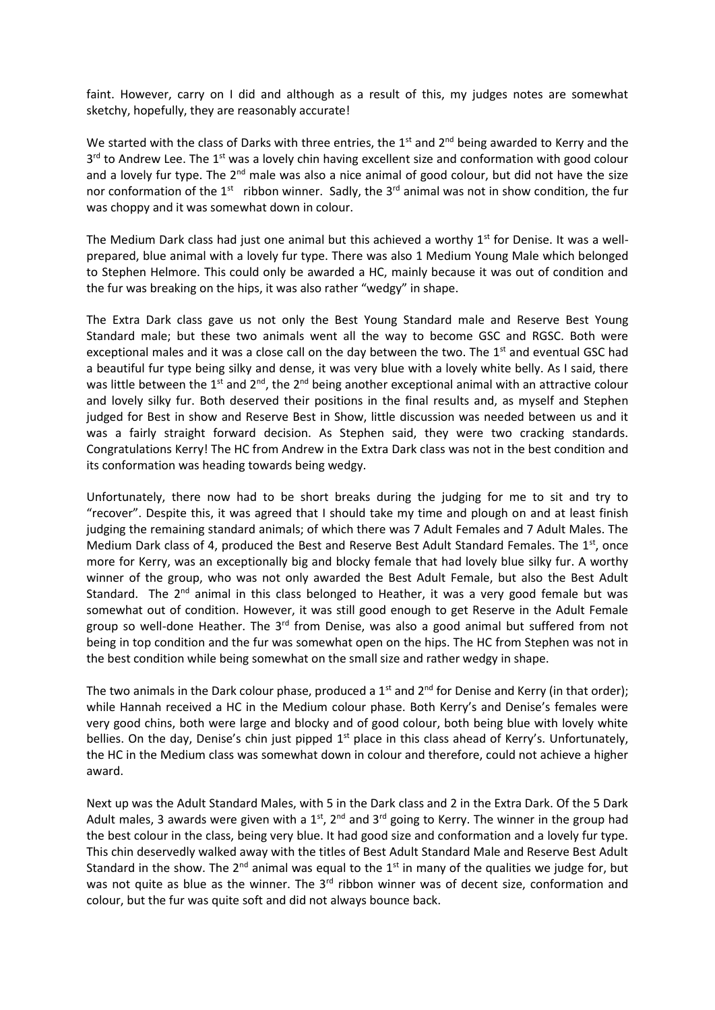faint. However, carry on I did and although as a result of this, my judges notes are somewhat sketchy, hopefully, they are reasonably accurate!

We started with the class of Darks with three entries, the  $1<sup>st</sup>$  and  $2<sup>nd</sup>$  being awarded to Kerry and the 3<sup>rd</sup> to Andrew Lee. The 1<sup>st</sup> was a lovely chin having excellent size and conformation with good colour and a lovely fur type. The  $2^{nd}$  male was also a nice animal of good colour, but did not have the size nor conformation of the  $1^{st}$  ribbon winner. Sadly, the  $3^{rd}$  animal was not in show condition, the fur was choppy and it was somewhat down in colour.

The Medium Dark class had just one animal but this achieved a worthy  $1<sup>st</sup>$  for Denise. It was a wellprepared, blue animal with a lovely fur type. There was also 1 Medium Young Male which belonged to Stephen Helmore. This could only be awarded a HC, mainly because it was out of condition and the fur was breaking on the hips, it was also rather "wedgy" in shape.

The Extra Dark class gave us not only the Best Young Standard male and Reserve Best Young Standard male; but these two animals went all the way to become GSC and RGSC. Both were exceptional males and it was a close call on the day between the two. The 1<sup>st</sup> and eventual GSC had a beautiful fur type being silky and dense, it was very blue with a lovely white belly. As I said, there was little between the 1<sup>st</sup> and 2<sup>nd</sup>, the 2<sup>nd</sup> being another exceptional animal with an attractive colour and lovely silky fur. Both deserved their positions in the final results and, as myself and Stephen judged for Best in show and Reserve Best in Show, little discussion was needed between us and it was a fairly straight forward decision. As Stephen said, they were two cracking standards. Congratulations Kerry! The HC from Andrew in the Extra Dark class was not in the best condition and its conformation was heading towards being wedgy.

Unfortunately, there now had to be short breaks during the judging for me to sit and try to "recover". Despite this, it was agreed that I should take my time and plough on and at least finish judging the remaining standard animals; of which there was 7 Adult Females and 7 Adult Males. The Medium Dark class of 4, produced the Best and Reserve Best Adult Standard Females. The  $1<sup>st</sup>$ , once more for Kerry, was an exceptionally big and blocky female that had lovely blue silky fur. A worthy winner of the group, who was not only awarded the Best Adult Female, but also the Best Adult Standard. The  $2^{nd}$  animal in this class belonged to Heather, it was a very good female but was somewhat out of condition. However, it was still good enough to get Reserve in the Adult Female group so well-done Heather. The  $3<sup>rd</sup>$  from Denise, was also a good animal but suffered from not being in top condition and the fur was somewhat open on the hips. The HC from Stephen was not in the best condition while being somewhat on the small size and rather wedgy in shape.

The two animals in the Dark colour phase, produced a  $1<sup>st</sup>$  and  $2<sup>nd</sup>$  for Denise and Kerry (in that order); while Hannah received a HC in the Medium colour phase. Both Kerry's and Denise's females were very good chins, both were large and blocky and of good colour, both being blue with lovely white bellies. On the day, Denise's chin just pipped 1<sup>st</sup> place in this class ahead of Kerry's. Unfortunately, the HC in the Medium class was somewhat down in colour and therefore, could not achieve a higher award.

Next up was the Adult Standard Males, with 5 in the Dark class and 2 in the Extra Dark. Of the 5 Dark Adult males, 3 awards were given with a  $1<sup>st</sup>$ ,  $2<sup>nd</sup>$  and  $3<sup>rd</sup>$  going to Kerry. The winner in the group had the best colour in the class, being very blue. It had good size and conformation and a lovely fur type. This chin deservedly walked away with the titles of Best Adult Standard Male and Reserve Best Adult Standard in the show. The  $2^{nd}$  animal was equal to the  $1^{st}$  in many of the qualities we judge for, but was not quite as blue as the winner. The 3<sup>rd</sup> ribbon winner was of decent size, conformation and colour, but the fur was quite soft and did not always bounce back.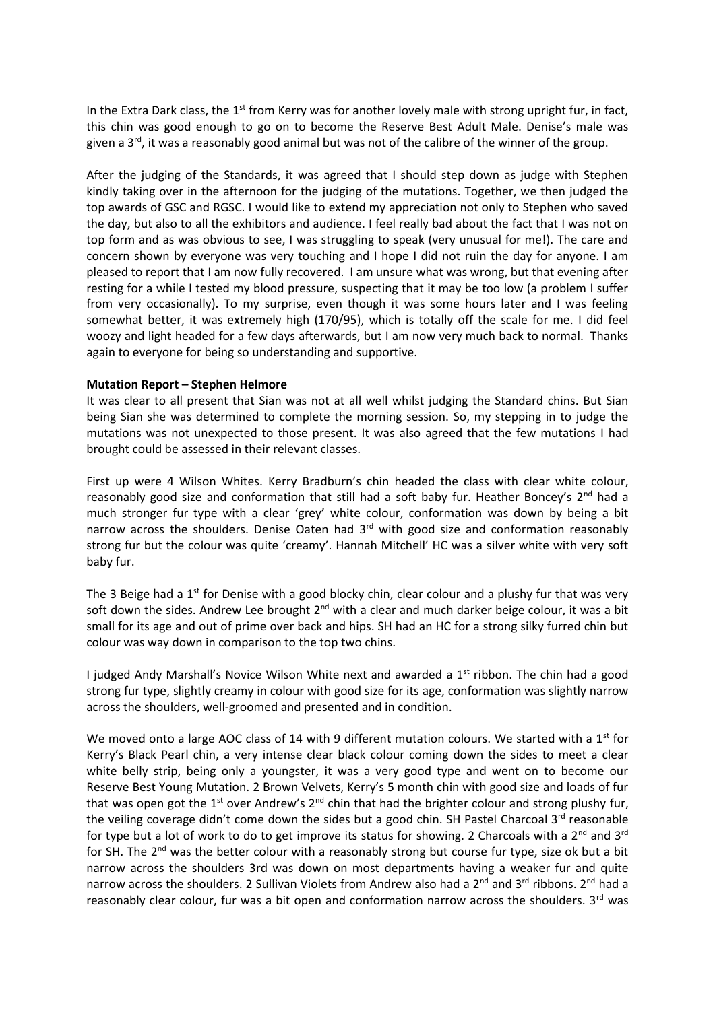In the Extra Dark class, the  $1<sup>st</sup>$  from Kerry was for another lovely male with strong upright fur, in fact, this chin was good enough to go on to become the Reserve Best Adult Male. Denise's male was given a  $3<sup>rd</sup>$ , it was a reasonably good animal but was not of the calibre of the winner of the group.

After the judging of the Standards, it was agreed that I should step down as judge with Stephen kindly taking over in the afternoon for the judging of the mutations. Together, we then judged the top awards of GSC and RGSC. I would like to extend my appreciation not only to Stephen who saved the day, but also to all the exhibitors and audience. I feel really bad about the fact that I was not on top form and as was obvious to see, I was struggling to speak (very unusual for me!). The care and concern shown by everyone was very touching and I hope I did not ruin the day for anyone. I am pleased to report that I am now fully recovered. I am unsure what was wrong, but that evening after resting for a while I tested my blood pressure, suspecting that it may be too low (a problem I suffer from very occasionally). To my surprise, even though it was some hours later and I was feeling somewhat better, it was extremely high (170/95), which is totally off the scale for me. I did feel woozy and light headed for a few days afterwards, but I am now very much back to normal. Thanks again to everyone for being so understanding and supportive.

## **Mutation Report – Stephen Helmore**

It was clear to all present that Sian was not at all well whilst judging the Standard chins. But Sian being Sian she was determined to complete the morning session. So, my stepping in to judge the mutations was not unexpected to those present. It was also agreed that the few mutations I had brought could be assessed in their relevant classes.

First up were 4 Wilson Whites. Kerry Bradburn's chin headed the class with clear white colour, reasonably good size and conformation that still had a soft baby fur. Heather Boncey's  $2<sup>nd</sup>$  had a much stronger fur type with a clear 'grey' white colour, conformation was down by being a bit narrow across the shoulders. Denise Oaten had 3<sup>rd</sup> with good size and conformation reasonably strong fur but the colour was quite 'creamy'. Hannah Mitchell' HC was a silver white with very soft baby fur.

The 3 Beige had a  $1<sup>st</sup>$  for Denise with a good blocky chin, clear colour and a plushy fur that was very soft down the sides. Andrew Lee brought 2<sup>nd</sup> with a clear and much darker beige colour, it was a bit small for its age and out of prime over back and hips. SH had an HC for a strong silky furred chin but colour was way down in comparison to the top two chins.

I judged Andy Marshall's Novice Wilson White next and awarded a  $1<sup>st</sup>$  ribbon. The chin had a good strong fur type, slightly creamy in colour with good size for its age, conformation was slightly narrow across the shoulders, well-groomed and presented and in condition.

We moved onto a large AOC class of 14 with 9 different mutation colours. We started with a  $1<sup>st</sup>$  for Kerry's Black Pearl chin, a very intense clear black colour coming down the sides to meet a clear white belly strip, being only a youngster, it was a very good type and went on to become our Reserve Best Young Mutation. 2 Brown Velvets, Kerry's 5 month chin with good size and loads of fur that was open got the  $1^{st}$  over Andrew's  $2^{nd}$  chin that had the brighter colour and strong plushy fur, the veiling coverage didn't come down the sides but a good chin. SH Pastel Charcoal 3<sup>rd</sup> reasonable for type but a lot of work to do to get improve its status for showing. 2 Charcoals with a  $2^{nd}$  and  $3^{rd}$ for SH. The  $2^{nd}$  was the better colour with a reasonably strong but course fur type, size ok but a bit narrow across the shoulders 3rd was down on most departments having a weaker fur and quite narrow across the shoulders. 2 Sullivan Violets from Andrew also had a 2<sup>nd</sup> and 3<sup>rd</sup> ribbons. 2<sup>nd</sup> had a reasonably clear colour, fur was a bit open and conformation narrow across the shoulders. 3<sup>rd</sup> was